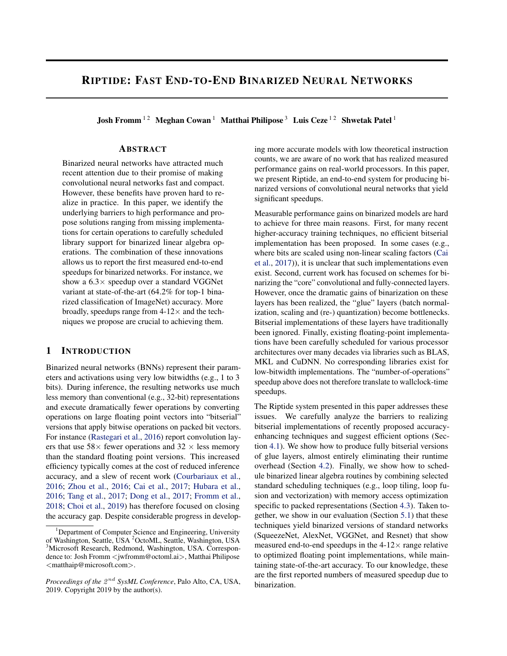# RIPTIDE: FAST END-TO-END BINARIZED NEURAL NETWORKS

Josh Fromm<sup>12</sup> Meghan Cowan<sup>1</sup> Matthai Philipose<sup>3</sup> Luis Ceze<sup>12</sup> Shwetak Patel<sup>1</sup>

#### ABSTRACT

Binarized neural networks have attracted much recent attention due to their promise of making convolutional neural networks fast and compact. However, these benefits have proven hard to realize in practice. In this paper, we identify the underlying barriers to high performance and propose solutions ranging from missing implementations for certain operations to carefully scheduled library support for binarized linear algebra operations. The combination of these innovations allows us to report the first measured end-to-end speedups for binarized networks. For instance, we show a  $6.3\times$  speedup over a standard VGGNet variant at state-of-the-art (64.2% for top-1 binarized classification of ImageNet) accuracy. More broadly, speedups range from  $4-12\times$  and the techniques we propose are crucial to achieving them.

## 1 INTRODUCTION

Binarized neural networks (BNNs) represent their parameters and activations using very low bitwidths (e.g., 1 to 3 bits). During inference, the resulting networks use much less memory than conventional (e.g., 32-bit) representations and execute dramatically fewer operations by converting operations on large floating point vectors into "bitserial" versions that apply bitwise operations on packed bit vectors. For instance [\(Rastegari et al.,](#page-10-0) [2016\)](#page-10-0) report convolution layers that use  $58\times$  fewer operations and  $32\times$  less memory than the standard floating point versions. This increased efficiency typically comes at the cost of reduced inference accuracy, and a slew of recent work [\(Courbariaux et al.,](#page-10-0) [2016;](#page-10-0) [Zhou et al.,](#page-10-0) [2016;](#page-10-0) [Cai et al.,](#page-10-0) [2017;](#page-10-0) [Hubara et al.,](#page-10-0) [2016;](#page-10-0) [Tang et al.,](#page-10-0) [2017;](#page-10-0) [Dong et al.,](#page-10-0) [2017;](#page-10-0) [Fromm et al.,](#page-10-0) [2018;](#page-10-0) [Choi et al.,](#page-10-0) [2019\)](#page-10-0) has therefore focused on closing the accuracy gap. Despite considerable progress in developing more accurate models with low theoretical instruction counts, we are aware of no work that has realized measured performance gains on real-world processors. In this paper, we present Riptide, an end-to-end system for producing binarized versions of convolutional neural networks that yield significant speedups.

Measurable performance gains on binarized models are hard to achieve for three main reasons. First, for many recent higher-accuracy training techniques, no efficient bitserial implementation has been proposed. In some cases (e.g., where bits are scaled using non-linear scaling factors [\(Cai](#page-10-0) [et al.,](#page-10-0) [2017\)](#page-10-0)), it is unclear that such implementations even exist. Second, current work has focused on schemes for binarizing the "core" convolutional and fully-connected layers. However, once the dramatic gains of binarization on these layers has been realized, the "glue" layers (batch normalization, scaling and (re-) quantization) become bottlenecks. Bitserial implementations of these layers have traditionally been ignored. Finally, existing floating-point implementations have been carefully scheduled for various processor architectures over many decades via libraries such as BLAS, MKL and CuDNN. No corresponding libraries exist for low-bitwidth implementations. The "number-of-operations" speedup above does not therefore translate to wallclock-time speedups.

The Riptide system presented in this paper addresses these issues. We carefully analyze the barriers to realizing bitserial implementations of recently proposed accuracyenhancing techniques and suggest efficient options (Section [4.1\)](#page-4-0). We show how to produce fully bitserial versions of glue layers, almost entirely eliminating their runtime overhead (Section [4.2\)](#page-5-0). Finally, we show how to schedule binarized linear algebra routines by combining selected standard scheduling techniques (e.g., loop tiling, loop fusion and vectorization) with memory access optimization specific to packed representations (Section [4.3\)](#page-6-0). Taken together, we show in our evaluation (Section [5.1\)](#page-7-0) that these techniques yield binarized versions of standard networks (SqueezeNet, AlexNet, VGGNet, and Resnet) that show measured end-to-end speedups in the  $4-12\times$  range relative to optimized floating point implementations, while maintaining state-of-the-art accuracy. To our knowledge, these are the first reported numbers of measured speedup due to binarization.

<sup>&</sup>lt;sup>1</sup>Department of Computer Science and Engineering, University of Washington, Seattle, USA <sup>2</sup>OctoML, Seattle, Washington, USA <sup>3</sup>Microsoft Research, Redmond, Washington, USA. Correspondence to: Josh Fromm <jwfromm@octoml.ai>, Matthai Philipose <matthaip@microsoft.com>.

*Proceedings of the*  $2^{nd}$  *SysML Conference*, Palo Alto, CA, USA, 2019. Copyright 2019 by the author(s).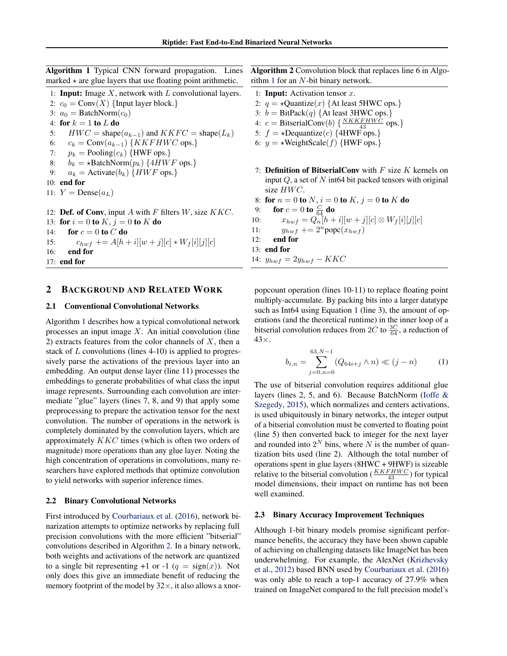<span id="page-1-0"></span>Algorithm 1 Typical CNN forward propagation. Lines marked  $\star$  are glue layers that use floating point arithmetic.

1: **Input:** Image  $X$ , network with  $L$  convolutional layers. 2:  $c_0 = \text{Conv}(X)$  {Input layer block.} 3:  $a_0 = \text{BatchNorm}(c_0)$ 4: for  $k = 1$  to  $L$  do 5:  $HWC = \text{shape}(a_{k-1})$  and  $KKFC = \text{shape}(L_k)$ 6:  $c_k = \text{Conv}(a_{k-1}) \{KKFHWC \text{ ops.}\}$ 7:  $p_k$  = Pooling( $c_k$ ) {HWF ops.} 8:  $b_k = \star \text{BatchNorm}(p_k) \{4HWF \text{ ops.}\}$ 9:  $a_k =$  Activate( $b_k$ ) {HWF ops.} 10: end for 11:  $Y = \text{Dense}(a_L)$ 12: **Def. of Conv**, input A with F filters  $W$ , size  $KKC$ . 13: for  $i = 0$  to  $K$ ,  $j = 0$  to  $K$  do 14: for  $c = 0$  to  $C$  do 15:  $c_{hwf}$  +=  $A[h + i][w + j][c] * W_f[i][j][c]$ 16: end for 17: end for

## 2 BACKGROUND AND RELATED WORK

#### 2.1 Conventional Convolutional Networks

Algorithm 1 describes how a typical convolutional network processes an input image  $X$ . An initial convolution (line 2) extracts features from the color channels of  $X$ , then a stack of  $L$  convolutions (lines 4-10) is applied to progressively parse the activations of the previous layer into an embedding. An output dense layer (line 11) processes the embeddings to generate probabilities of what class the input image represents. Surrounding each convolution are intermediate "glue" layers (lines 7, 8, and 9) that apply some preprocessing to prepare the activation tensor for the next convolution. The number of operations in the network is completely dominated by the convolution layers, which are approximately KKC times (which is often two orders of magnitude) more operations than any glue layer. Noting the high concentration of operations in convolutions, many researchers have explored methods that optimize convolution to yield networks with superior inference times.

#### 2.2 Binary Convolutional Networks

First introduced by [Courbariaux et al.](#page-10-0) [\(2016\)](#page-10-0), network binarization attempts to optimize networks by replacing full precision convolutions with the more efficient "bitserial" convolutions described in Algorithm 2. In a binary network, both weights and activations of the network are quantized to a single bit representing +1 or -1 ( $q = sign(x)$ ). Not only does this give an immediate benefit of reducing the memory footprint of the model by  $32\times$ , it also allows a xnorAlgorithm 2 Convolution block that replaces line 6 in Algorithm 1 for an  $N$ -bit binary network.

- 1: **Input:** Activation tensor  $x$ .
- 2:  $q = \star$ Quantize $(x)$  {At least 5HWC ops.}
- 3:  $b = \text{BitPack}(q)$  {At least 3HWC ops.}
- 4:  $c = \text{BitserialConv}(b) \left\{ \frac{NKKFHWC}{43} \text{ ops.} \right\}$
- 5:  $f = \star$ Dequantize(c) {4HWF ops.}
- 6:  $y = \star WeightScale(f)$  {HWF ops.}
- 7: **Definition of BitserialConv** with  $F$  size  $K$  kernels on input  $Q$ , a set of  $N$  int64 bit packed tensors with original size  $HWC$ .

8: for 
$$
n = 0
$$
 to  $N$ ,  $i = 0$  to  $K$ ,  $j = 0$  to  $K$  do

9: for  $c=0$  to  $\frac{C}{64}$  do

10:  $x_{hwf} = Q_n[h + i][w + j][c] \otimes W_f[i][j][c]$ 

- 11:  $y_{hwf}$  +=  $2^n$ popc $(x_{hwf})$
- 12: end for
- 13: end for
- 14:  $y_{hwf} = 2y_{hwf} KKC$

popcount operation (lines 10-11) to replace floating point multiply-accumulate. By packing bits into a larger datatype such as Int64 using Equation 1 (line 3), the amount of operations (and the theoretical runtime) in the inner loop of a bitserial convolution reduces from 2C to  $\frac{3C}{64}$ , a reduction of  $43\times$ .

$$
b_{i,n} = \sum_{j=0,n=0}^{63,N-1} (Q_{64i+j} \wedge n) \ll (j-n) \tag{1}
$$

The use of bitserial convolution requires additional glue layers (lines 2, 5, and 6). Because BatchNorm [\(Ioffe &](#page-10-0) [Szegedy,](#page-10-0) [2015\)](#page-10-0), which normalizes and centers activations, is used ubiquitously in binary networks, the integer output of a bitserial convolution must be converted to floating point (line 5) then converted back to integer for the next layer and rounded into  $2^N$  bins, where N is the number of quantization bits used (line 2). Although the total number of operations spent in glue layers (8HWC + 9HWF) is sizeable relative to the bitserial convolution  $(\frac{KKFHWC}{43})$  for typical model dimensions, their impact on runtime has not been well examined.

## 2.3 Binary Accuracy Improvement Techniques

Although 1-bit binary models promise significant performance benefits, the accuracy they have been shown capable of achieving on challenging datasets like ImageNet has been underwhelming. For example, the AlexNet [\(Krizhevsky](#page-10-0) [et al.,](#page-10-0) [2012\)](#page-10-0) based BNN used by [Courbariaux et al.](#page-10-0) [\(2016\)](#page-10-0) was only able to reach a top-1 accuracy of 27.9% when trained on ImageNet compared to the full precision model's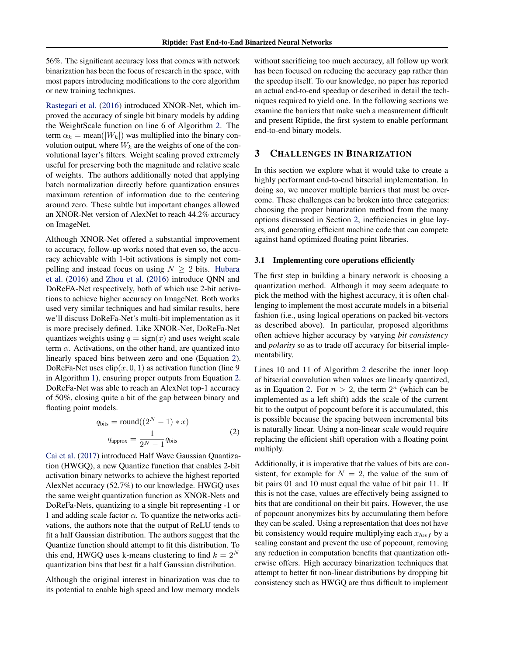<span id="page-2-0"></span>56%. The significant accuracy loss that comes with network binarization has been the focus of research in the space, with most papers introducing modifications to the core algorithm or new training techniques.

[Rastegari et al.](#page-10-0) [\(2016\)](#page-10-0) introduced XNOR-Net, which improved the accuracy of single bit binary models by adding the WeightScale function on line 6 of Algorithm [2.](#page-1-0) The term  $\alpha_k = \text{mean}(|W_k|)$  was multiplied into the binary convolution output, where  $W_k$  are the weights of one of the convolutional layer's filters. Weight scaling proved extremely useful for preserving both the magnitude and relative scale of weights. The authors additionally noted that applying batch normalization directly before quantization ensures maximum retention of information due to the centering around zero. These subtle but important changes allowed an XNOR-Net version of AlexNet to reach 44.2% accuracy on ImageNet.

Although XNOR-Net offered a substantial improvement to accuracy, follow-up works noted that even so, the accuracy achievable with 1-bit activations is simply not compelling and instead focus on using  $N \geq 2$  bits. [Hubara](#page-10-0) [et al.](#page-10-0) [\(2016\)](#page-10-0) and [Zhou et al.](#page-10-0) [\(2016\)](#page-10-0) introduce QNN and DoReFA-Net respectively, both of which use 2-bit activations to achieve higher accuracy on ImageNet. Both works used very similar techniques and had similar results, here we'll discuss DoReFa-Net's multi-bit implementation as it is more precisely defined. Like XNOR-Net, DoReFa-Net quantizes weights using  $q = sign(x)$  and uses weight scale term  $\alpha$ . Activations, on the other hand, are quantized into linearly spaced bins between zero and one (Equation 2). DoReFa-Net uses  $\text{clip}(x, 0, 1)$  as activation function (line 9) in Algorithm [1\)](#page-1-0), ensuring proper outputs from Equation 2. DoReFa-Net was able to reach an AlexNet top-1 accuracy of 50%, closing quite a bit of the gap between binary and floating point models.

$$
q_{\text{bits}} = \text{round}((2^N - 1) * x)
$$

$$
q_{\text{approx}} = \frac{1}{2^N - 1} q_{\text{bits}}
$$
(2)

[Cai et al.](#page-10-0) [\(2017\)](#page-10-0) introduced Half Wave Gaussian Quantization (HWGQ), a new Quantize function that enables 2-bit activation binary networks to achieve the highest reported AlexNet accuracy (52.7%) to our knowledge. HWGQ uses the same weight quantization function as XNOR-Nets and DoReFa-Nets, quantizing to a single bit representing -1 or 1 and adding scale factor  $\alpha$ . To quantize the networks activations, the authors note that the output of ReLU tends to fit a half Gaussian distribution. The authors suggest that the Quantize function should attempt to fit this distribution. To this end, HWGQ uses k-means clustering to find  $k = 2^N$ quantization bins that best fit a half Gaussian distribution.

Although the original interest in binarization was due to its potential to enable high speed and low memory models without sacrificing too much accuracy, all follow up work has been focused on reducing the accuracy gap rather than the speedup itself. To our knowledge, no paper has reported an actual end-to-end speedup or described in detail the techniques required to yield one. In the following sections we examine the barriers that make such a measurement difficult and present Riptide, the first system to enable performant end-to-end binary models.

## 3 CHALLENGES IN BINARIZATION

In this section we explore what it would take to create a highly performant end-to-end bitserial implementation. In doing so, we uncover multiple barriers that must be overcome. These challenges can be broken into three categories: choosing the proper binarization method from the many options discussed in Section [2,](#page-1-0) inefficiencies in glue layers, and generating efficient machine code that can compete against hand optimized floating point libraries.

#### 3.1 Implementing core operations efficiently

The first step in building a binary network is choosing a quantization method. Although it may seem adequate to pick the method with the highest accuracy, it is often challenging to implement the most accurate models in a bitserial fashion (i.e., using logical operations on packed bit-vectors as described above). In particular, proposed algorithms often achieve higher accuracy by varying *bit consistency* and *polarity* so as to trade off accuracy for bitserial implementability.

Lines 10 and 11 of Algorithm [2](#page-1-0) describe the inner loop of bitserial convolution when values are linearly quantized, as in Equation 2. For  $n > 2$ , the term  $2^n$  (which can be implemented as a left shift) adds the scale of the current bit to the output of popcount before it is accumulated, this is possible because the spacing between incremental bits is naturally linear. Using a non-linear scale would require replacing the efficient shift operation with a floating point multiply.

Additionally, it is imperative that the values of bits are consistent, for example for  $N = 2$ , the value of the sum of bit pairs 01 and 10 must equal the value of bit pair 11. If this is not the case, values are effectively being assigned to bits that are conditional on their bit pairs. However, the use of popcount anonymizes bits by accumulating them before they can be scaled. Using a representation that does not have bit consistency would require multiplying each  $x_{hwf}$  by a scaling constant and prevent the use of popcount, removing any reduction in computation benefits that quantization otherwise offers. High accuracy binarization techniques that attempt to better fit non-linear distributions by dropping bit consistency such as HWGQ are thus difficult to implement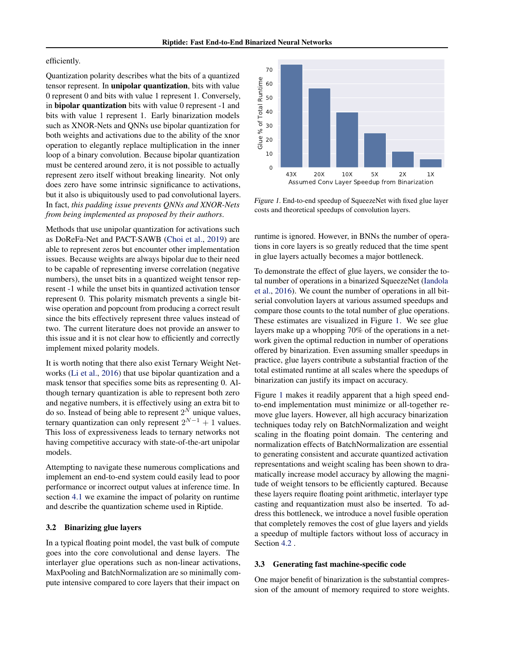#### <span id="page-3-0"></span>efficiently.

Quantization polarity describes what the bits of a quantized tensor represent. In unipolar quantization, bits with value 0 represent 0 and bits with value 1 represent 1. Conversely, in bipolar quantization bits with value 0 represent -1 and bits with value 1 represent 1. Early binarization models such as XNOR-Nets and QNNs use bipolar quantization for both weights and activations due to the ability of the xnor operation to elegantly replace multiplication in the inner loop of a binary convolution. Because bipolar quantization must be centered around zero, it is not possible to actually represent zero itself without breaking linearity. Not only does zero have some intrinsic significance to activations, but it also is ubiquitously used to pad convolutional layers. In fact, *this padding issue prevents QNNs and XNOR-Nets from being implemented as proposed by their authors*.

Methods that use unipolar quantization for activations such as DoReFa-Net and PACT-SAWB [\(Choi et al.,](#page-10-0) [2019\)](#page-10-0) are able to represent zeros but encounter other implementation issues. Because weights are always bipolar due to their need to be capable of representing inverse correlation (negative numbers), the unset bits in a quantized weight tensor represent -1 while the unset bits in quantized activation tensor represent 0. This polarity mismatch prevents a single bitwise operation and popcount from producing a correct result since the bits effectively represent three values instead of two. The current literature does not provide an answer to this issue and it is not clear how to efficiently and correctly implement mixed polarity models.

It is worth noting that there also exist Ternary Weight Networks [\(Li et al.,](#page-10-0) [2016\)](#page-10-0) that use bipolar quantization and a mask tensor that specifies some bits as representing 0. Although ternary quantization is able to represent both zero and negative numbers, it is effectively using an extra bit to do so. Instead of being able to represent  $2^N$  unique values, ternary quantization can only represent  $2^{N-1} + 1$  values. This loss of expressiveness leads to ternary networks not having competitive accuracy with state-of-the-art unipolar models.

Attempting to navigate these numerous complications and implement an end-to-end system could easily lead to poor performance or incorrect output values at inference time. In section [4.1](#page-4-0) we examine the impact of polarity on runtime and describe the quantization scheme used in Riptide.

## 3.2 Binarizing glue layers

In a typical floating point model, the vast bulk of compute goes into the core convolutional and dense layers. The interlayer glue operations such as non-linear activations, MaxPooling and BatchNormalization are so minimally compute intensive compared to core layers that their impact on



Figure 1. End-to-end speedup of SqueezeNet with fixed glue layer costs and theoretical speedups of convolution layers.

runtime is ignored. However, in BNNs the number of operations in core layers is so greatly reduced that the time spent in glue layers actually becomes a major bottleneck.

To demonstrate the effect of glue layers, we consider the total number of operations in a binarized SqueezeNet [\(Iandola](#page-10-0) [et al.,](#page-10-0) [2016\)](#page-10-0). We count the number of operations in all bitserial convolution layers at various assumed speedups and compare those counts to the total number of glue operations. These estimates are visualized in Figure 1. We see glue layers make up a whopping 70% of the operations in a network given the optimal reduction in number of operations offered by binarization. Even assuming smaller speedups in practice, glue layers contribute a substantial fraction of the total estimated runtime at all scales where the speedups of binarization can justify its impact on accuracy.

Figure 1 makes it readily apparent that a high speed endto-end implementation must minimize or all-together remove glue layers. However, all high accuracy binarization techniques today rely on BatchNormalization and weight scaling in the floating point domain. The centering and normalization effects of BatchNormalization are essential to generating consistent and accurate quantized activation representations and weight scaling has been shown to dramatically increase model accuracy by allowing the magnitude of weight tensors to be efficiently captured. Because these layers require floating point arithmetic, interlayer type casting and requantization must also be inserted. To address this bottleneck, we introduce a novel fusible operation that completely removes the cost of glue layers and yields a speedup of multiple factors without loss of accuracy in Section [4.2](#page-5-0) .

#### 3.3 Generating fast machine-specific code

One major benefit of binarization is the substantial compression of the amount of memory required to store weights.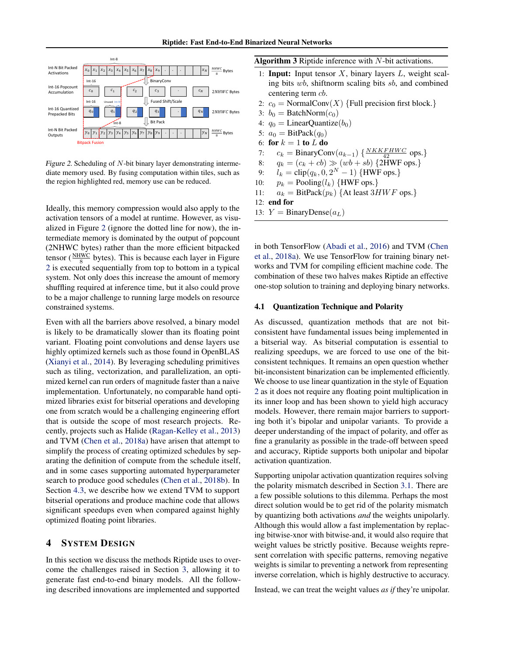<span id="page-4-0"></span>

Figure 2. Scheduling of  $N$ -bit binary layer demonstrating intermediate memory used. By fusing computation within tiles, such as the region highlighted red, memory use can be reduced.

Ideally, this memory compression would also apply to the activation tensors of a model at runtime. However, as visualized in Figure 2 (ignore the dotted line for now), the intermediate memory is dominated by the output of popcount (2NHWC bytes) rather than the more efficient bitpacked tensor ( $\frac{NHWC}{8}$  bytes). This is because each layer in Figure 2 is executed sequentially from top to bottom in a typical system. Not only does this increase the amount of memory shuffling required at inference time, but it also could prove to be a major challenge to running large models on resource constrained systems.

Even with all the barriers above resolved, a binary model is likely to be dramatically slower than its floating point variant. Floating point convolutions and dense layers use highly optimized kernels such as those found in OpenBLAS [\(Xianyi et al.,](#page-10-0) [2014\)](#page-10-0). By leveraging scheduling primitives such as tiling, vectorization, and parallelization, an optimized kernel can run orders of magnitude faster than a naive implementation. Unfortunately, no comparable hand optimized libraries exist for bitserial operations and developing one from scratch would be a challenging engineering effort that is outside the scope of most research projects. Recently, projects such as Halide [\(Ragan-Kelley et al.,](#page-10-0) [2013\)](#page-10-0) and TVM [\(Chen et al.,](#page-10-0) [2018a\)](#page-10-0) have arisen that attempt to simplify the process of creating optimized schedules by separating the definition of compute from the schedule itself, and in some cases supporting automated hyperparameter search to produce good schedules [\(Chen et al.,](#page-10-0) [2018b\)](#page-10-0). In Section [4.3,](#page-6-0) we describe how we extend TVM to support bitserial operations and produce machine code that allows significant speedups even when compared against highly optimized floating point libraries.

## 4 SYSTEM DESIGN

In this section we discuss the methods Riptide uses to overcome the challenges raised in Section [3,](#page-2-0) allowing it to generate fast end-to-end binary models. All the following described innovations are implemented and supported

Algorithm 3 Riptide inference with N-bit activations.

- 1: **Input:** Input tensor  $X$ , binary layers  $L$ , weight scaling bits wb, shiftnorm scaling bits sb, and combined centering term *cb*. 2:  $c_0$  = NormalConv(X) {Full precision first block.} 3:  $b_0 = \text{BatchNorm}(c_0)$ 4:  $q_0 =$  LinearQuantize( $b_0$ )
- 5:  $a_0 = \text{BitPack}(q_0)$
- 6: for  $k = 1$  to  $L$  do
- 7:  $c_k = \text{BinaryConv}(a_{k-1}) \left\{ \frac{NKKFHWC}{42} \text{ ops.} \right\}$
- 8:  $q_k = (c_k + cb) \gg (wb + sb)$  {2HWF ops.}
- 9:  $l_k = \text{clip}(q_k, 0, 2^N 1)$  {HWF ops.}
- 10:  $p_k$  = Pooling( $l_k$ ) {HWF ops.}
- 11:  $a_k = \text{BitPack}(p_k)$  {At least 3HWF ops.}

```
12: end for
```
13:  $Y = \text{BinaryDense}(a_L)$ 

in both TensorFlow [\(Abadi et al.,](#page-10-0) [2016\)](#page-10-0) and TVM [\(Chen](#page-10-0) [et al.,](#page-10-0) [2018a\)](#page-10-0). We use TensorFlow for training binary networks and TVM for compiling efficient machine code. The combination of these two halves makes Riptide an effective one-stop solution to training and deploying binary networks.

#### 4.1 Quantization Technique and Polarity

As discussed, quantization methods that are not bitconsistent have fundamental issues being implemented in a bitserial way. As bitserial computation is essential to realizing speedups, we are forced to use one of the bitconsistent techniques. It remains an open question whether bit-inconsistent binarization can be implemented efficiently. We choose to use linear quantization in the style of Equation [2](#page-2-0) as it does not require any floating point multiplication in its inner loop and has been shown to yield high accuracy models. However, there remain major barriers to supporting both it's bipolar and unipolar variants. To provide a deeper understanding of the impact of polarity, and offer as fine a granularity as possible in the trade-off between speed and accuracy, Riptide supports both unipolar and bipolar activation quantization.

Supporting unipolar activation quantization requires solving the polarity mismatch described in Section [3.1.](#page-2-0) There are a few possible solutions to this dilemma. Perhaps the most direct solution would be to get rid of the polarity mismatch by quantizing both activations *and* the weights unipolarly. Although this would allow a fast implementation by replacing bitwise-xnor with bitwise-and, it would also require that weight values be strictly positive. Because weights represent correlation with specific patterns, removing negative weights is similar to preventing a network from representing inverse correlation, which is highly destructive to accuracy.

Instead, we can treat the weight values *as if* they're unipolar.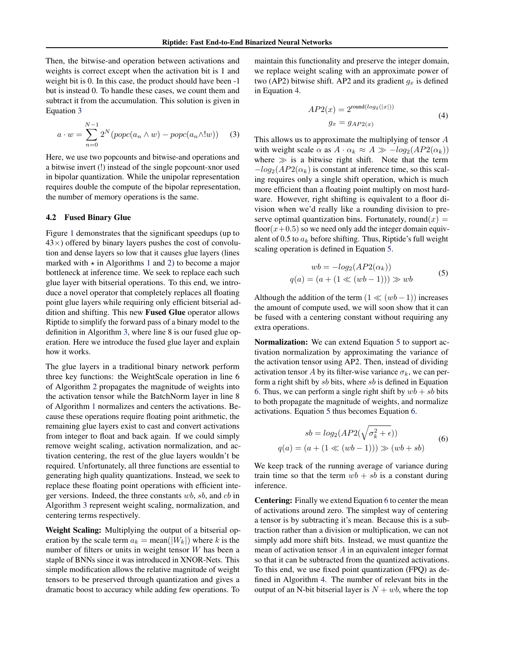<span id="page-5-0"></span>Then, the bitwise-and operation between activations and weights is correct except when the activation bit is 1 and weight bit is 0. In this case, the product should have been -1 but is instead 0. To handle these cases, we count them and subtract it from the accumulation. This solution is given in Equation 3

$$
a \cdot w = \sum_{n=0}^{N-1} 2^N (popc(a_n \wedge w) - popc(a_n \wedge !w)) \quad (3)
$$

Here, we use two popcounts and bitwise-and operations and a bitwise invert (!) instead of the single popcount-xnor used in bipolar quantization. While the unipolar representation requires double the compute of the bipolar representation, the number of memory operations is the same.

#### 4.2 Fused Binary Glue

Figure [1](#page-3-0) demonstrates that the significant speedups (up to  $43\times$ ) offered by binary layers pushes the cost of convolution and dense layers so low that it causes glue layers (lines marked with  $\star$  in Algorithms [1](#page-1-0) and [2\)](#page-1-0) to become a major bottleneck at inference time. We seek to replace each such glue layer with bitserial operations. To this end, we introduce a novel operator that completely replaces all floating point glue layers while requiring only efficient bitserial addition and shifting. This new Fused Glue operator allows Riptide to simplify the forward pass of a binary model to the definition in Algorithm [3,](#page-4-0) where line 8 is our fused glue operation. Here we introduce the fused glue layer and explain how it works.

The glue layers in a traditional binary network perform three key functions: the WeightScale operation in line 6 of Algorithm [2](#page-1-0) propagates the magnitude of weights into the activation tensor while the BatchNorm layer in line 8 of Algorithm [1](#page-1-0) normalizes and centers the activations. Because these operations require floating point arithmetic, the remaining glue layers exist to cast and convert activations from integer to float and back again. If we could simply remove weight scaling, activation normalization, and activation centering, the rest of the glue layers wouldn't be required. Unfortunately, all three functions are essential to generating high quality quantizations. Instead, we seek to replace these floating point operations with efficient integer versions. Indeed, the three constants wb, sb, and cb in Algorithm [3](#page-4-0) represent weight scaling, normalization, and centering terms respectively.

Weight Scaling: Multiplying the output of a bitserial operation by the scale term  $a_k = \text{mean}(|W_k|)$  where k is the number of filters or units in weight tensor W has been a staple of BNNs since it was introduced in XNOR-Nets. This simple modification allows the relative magnitude of weight tensors to be preserved through quantization and gives a dramatic boost to accuracy while adding few operations. To

maintain this functionality and preserve the integer domain, we replace weight scaling with an approximate power of two (AP2) bitwise shift. AP2 and its gradient  $g_x$  is defined in Equation 4.

$$
AP2(x) = 2^{\text{round}(log_2(|x|))}
$$
  
\n
$$
g_x = g_{AP2(x)}
$$
\n(4)

This allows us to approximate the multiplying of tensor A with weight scale  $\alpha$  as  $A \cdot \alpha_k \approx A \gg -log_2(AP2(\alpha_k))$ where  $\gg$  is a bitwise right shift. Note that the term  $-log_2(AP2(\alpha_k)$  is constant at inference time, so this scaling requires only a single shift operation, which is much more efficient than a floating point multiply on most hardware. However, right shifting is equivalent to a floor division when we'd really like a rounding division to preserve optimal quantization bins. Fortunately, round $(x)$  = floor( $x+0.5$ ) so we need only add the integer domain equivalent of 0.5 to  $a_k$  before shifting. Thus, Riptide's full weight scaling operation is defined in Equation 5.

$$
wb = -log2(AP2(\alphak))
$$
  
q(a) = (a + (1  $\ll (wb - 1)$ ))  $\gg wb$  (5)

Although the addition of the term  $(1 \ll (wb - 1))$  increases the amount of compute used, we will soon show that it can be fused with a centering constant without requiring any extra operations.

Normalization: We can extend Equation 5 to support activation normalization by approximating the variance of the activation tensor using AP2. Then, instead of dividing activation tensor A by its filter-wise variance  $\sigma_k$ , we can perform a right shift by  $sb$  bits, where  $sb$  is defined in Equation 6. Thus, we can perform a single right shift by  $wb + sb$  bits to both propagate the magnitude of weights, and normalize activations. Equation 5 thus becomes Equation 6.

$$
sb = log_2(AP2(\sqrt{\sigma_k^2 + \epsilon}))
$$
  
 
$$
q(a) = (a + (1 \ll (wb - 1))) \gg (wb + sb)
$$
 (6)

We keep track of the running average of variance during train time so that the term  $wb + sb$  is a constant during inference.

Centering: Finally we extend Equation 6 to center the mean of activations around zero. The simplest way of centering a tensor is by subtracting it's mean. Because this is a subtraction rather than a division or multiplication, we can not simply add more shift bits. Instead, we must quantize the mean of activation tensor A in an equivalent integer format so that it can be subtracted from the quantized activations. To this end, we use fixed point quantization (FPQ) as defined in Algorithm [4.](#page-6-0) The number of relevant bits in the output of an N-bit bitserial layer is  $N + wb$ , where the top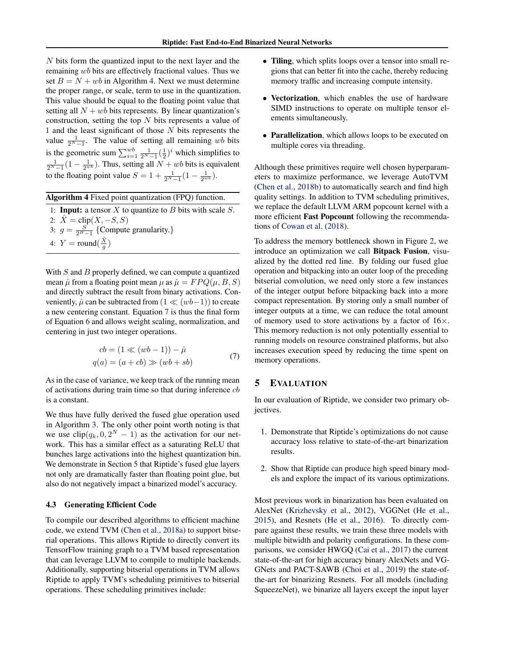<span id="page-6-0"></span>N bits form the quantized input to the next layer and the remaining wb bits are effectively fractional values. Thus we set  $B = N + wb$  in Algorithm 4. Next we must determine the proper range, or scale, term to use in the quantization. This value should be equal to the floating point value that setting all  $N + wb$  bits represents. By linear quantization's construction, setting the top N bits represents a value of 1 and the least significant of those  $N$  bits represents the value  $\frac{1}{2^N-1}$ . The value of setting all remaining wb bits is the geometric sum  $\sum_{i=1}^{wb} \frac{1}{2^N-1} (\frac{1}{2})^i$  which simplifies to  $\frac{1}{2^{N}-1}(1-\frac{1}{2^{wb}})$ . Thus, setting all  $N + wb$  bits is equivalent to the floating point value  $S = 1 + \frac{1}{2^{N}-1}(1 - \frac{1}{2^{wb}})$ .

Algorithm 4 Fixed point quantization (FPQ) function.

| 1: <b>Input:</b> a tensor X to quantize to B bits with scale S. |
|-----------------------------------------------------------------|
| 2: $\dot{X} = \text{clip}(X, -S, S)$                            |
| 3: $g = \frac{S}{2^B-1}$ {Compute granularity.}                 |
| 4: $Y = \text{round}(\frac{X}{a})$                              |
|                                                                 |

With  $S$  and  $B$  properly defined, we can compute a quantized mean  $\hat{\mu}$  from a floating point mean  $\mu$  as  $\hat{\mu} = FPQ(\mu, B, S)$ and directly subtract the result from binary activations. Conveniently,  $\hat{\mu}$  can be subtracted from  $(1 \ll (wb-1))$  to create a new centering constant. Equation 7 is thus the final form of Equation [6](#page-5-0) and allows weight scaling, normalization, and centering in just two integer operations.

$$
cb = (1 \ll (wb - 1)) - \hat{\mu}
$$
  
 
$$
q(a) = (a + cb) \gg (wb + sb)
$$
 (7)

As in the case of variance, we keep track of the running mean of activations during train time so that during inference  $cb$ is a constant.

We thus have fully derived the fused glue operation used in Algorithm [3.](#page-4-0) The only other point worth noting is that we use  $\text{clip}(q_k, 0, 2^N - 1)$  as the activation for our network. This has a similar effect as a saturating ReLU that bunches large activations into the highest quantization bin. We demonstrate in Section 5 that Riptide's fused glue layers not only are dramatically faster than floating point glue, but also do not negatively impact a binarized model's accuracy.

#### 4.3 Generating Efficient Code

To compile our described algorithms to efficient machine code, we extend TVM [\(Chen et al.,](#page-10-0) [2018a\)](#page-10-0) to support bitserial operations. This allows Riptide to directly convert its TensorFlow training graph to a TVM based representation that can leverage LLVM to compile to multiple backends. Additionally, supporting bitserial operations in TVM allows Riptide to apply TVM's scheduling primitives to bitserial operations. These scheduling primitives include:

- Tiling, which splits loops over a tensor into small regions that can better fit into the cache, thereby reducing memory traffic and increasing compute intensity.
- Vectorization, which enables the use of hardware SIMD instructions to operate on multiple tensor elements simultaneously.
- Parallelization, which allows loops to be executed on multiple cores via threading.

Although these primitives require well chosen hyperparameters to maximize performance, we leverage AutoTVM [\(Chen et al.,](#page-10-0) [2018b\)](#page-10-0) to automatically search and find high quality settings. In addition to TVM scheduling primitives, we replace the default LLVM ARM popcount kernel with a more efficient Fast Popcount following the recommendations of [Cowan et al.](#page-10-0) [\(2018\)](#page-10-0).

To address the memory bottleneck shown in Figure [2,](#page-4-0) we introduce an optimization we call Bitpack Fusion, visualized by the dotted red line. By folding our fused glue operation and bitpacking into an outer loop of the preceding bitserial convolution, we need only store a few instances of the integer output before bitpacking back into a more compact representation. By storing only a small number of integer outputs at a time, we can reduce the total amount of memory used to store activations by a factor of  $16\times$ . This memory reduction is not only potentially essential to running models on resource constrained platforms, but also increases execution speed by reducing the time spent on memory operations.

### 5 EVALUATION

In our evaluation of Riptide, we consider two primary objectives.

- 1. Demonstrate that Riptide's optimizations do not cause accuracy loss relative to state-of-the-art binarization results.
- 2. Show that Riptide can produce high speed binary models and explore the impact of its various optimizations.

Most previous work in binarization has been evaluated on AlexNet [\(Krizhevsky et al.,](#page-10-0) [2012\)](#page-10-0), VGGNet [\(He et al.,](#page-10-0) [2015\)](#page-10-0), and Resnets [\(He et al.,](#page-10-0) [2016\)](#page-10-0). To directly compare against these results, we train these three models with multiple bitwidth and polarity configurations. In these comparisons, we consider HWGQ [\(Cai et al.,](#page-10-0) [2017\)](#page-10-0) the current state-of-the-art for high accuracy binary AlexNets and VG-GNets and PACT-SAWB [\(Choi et al.,](#page-10-0) [2019\)](#page-10-0) the state-ofthe-art for binarizing Resnets. For all models (including SqueezeNet), we binarize all layers except the input layer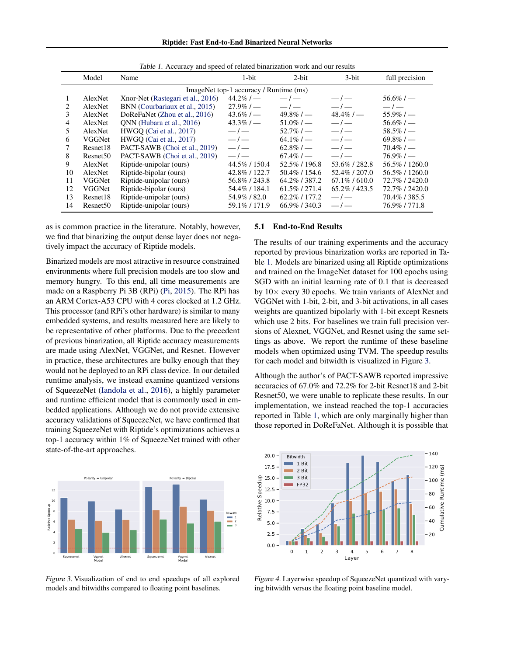Riptide: Fast End-to-End Binarized Neural Networks

<span id="page-7-0"></span>

|    | Model                                  | Name                              | $1-bit$        | $2$ -bit         | $3$ -bit         | full precision |  |  |
|----|----------------------------------------|-----------------------------------|----------------|------------------|------------------|----------------|--|--|
|    | ImageNet top-1 accuracy / Runtime (ms) |                                   |                |                  |                  |                |  |  |
|    | AlexNet                                | Xnor-Net (Rastegari et al., 2016) | $44.2\%$ / —   | $-/-$            | $-/-$            | $56.6\%$ / —   |  |  |
| 2  | AlexNet                                | BNN (Courbariaux et al., 2015)    | $27.9\%$ / —   | $-/-$            | $-/-$            | $-/-$          |  |  |
| 3  | AlexNet                                | DoReFaNet (Zhou et al., 2016)     | $43.6\% / -$   | $49.8\%$ / —     | $48.4\%$ / —     | $55.9\%$ / —   |  |  |
| 4  | AlexNet                                | ONN (Hubara et al., 2016)         | $43.3\%$ / —   | $51.0\%/-$       | $-/-$            | $56.6\%$ / —   |  |  |
| 5  | AlexNet                                | HWGO (Cai et al., 2017)           | $-/-$          | $52.7\%$ / —     | $-/-$            | $58.5\%$ / —   |  |  |
| 6  | VGGNet                                 | HWGO (Cai et al., 2017)           | $-/-$          | $64.1\%$ / —     | $-/-$            | $69.8\%$ / —   |  |  |
| 7  | Resnet18                               | PACT-SAWB (Choi et al., 2019)     | $-/-$          | $62.8\%$ / —     | $-/-$            | $70.4\%$ / —   |  |  |
| 8  | Resnet <sub>50</sub>                   | PACT-SAWB (Choi et al., 2019)     | $-/-$          | $67.4\%$ / —     | $-/-$            | $76.9\%$ / —   |  |  |
| 9  | AlexNet                                | Riptide-unipolar (ours)           | 44.5%/150.4    | 52.5%/196.8      | 53.6%/282.8      | 56.5%/1260.0   |  |  |
| 10 | AlexNet                                | Riptide-bipolar (ours)            | 42.8%/122.7    | $50.4\%$ / 154.6 | 52.4\% / 207.0   | 56.5%/1260.0   |  |  |
| 11 | VGGNet                                 | Riptide-unipolar (ours)           | 56.8%/243.8    | 64.2\% / 387.2   | $67.1\% / 610.0$ | 72.7% / 2420.0 |  |  |
| 12 | VGGNet                                 | Riptide-bipolar (ours)            | 54.4% / 184.1  | $61.5\%$ / 271.4 | 65.2\% / 423.5   | 72.7% / 2420.0 |  |  |
| 13 | Resnet18                               | Riptide-unipolar (ours)           | 54.9%/82.0     | $62.2\%$ / 177.2 | $-/-$            | 70.4% / 385.5  |  |  |
| 14 | Resnet <sub>50</sub>                   | Riptide-unipolar (ours)           | 59.1\% / 171.9 | $66.9\%$ / 340.3 | $-l$             | 76.9%/771.8    |  |  |

Table 1. Accuracy and speed of related binarization work and our results

as is common practice in the literature. Notably, however, we find that binarizing the output dense layer does not negatively impact the accuracy of Riptide models.

Binarized models are most attractive in resource constrained environments where full precision models are too slow and memory hungry. To this end, all time measurements are made on a Raspberry Pi 3B (RPi) [\(Pi,](#page-10-0) [2015\)](#page-10-0). The RPi has an ARM Cortex-A53 CPU with 4 cores clocked at 1.2 GHz. This processor (and RPi's other hardware) is similar to many embedded systems, and results measured here are likely to be representative of other platforms. Due to the precedent of previous binarization, all Riptide accuracy measurements are made using AlexNet, VGGNet, and Resnet. However in practice, these architectures are bulky enough that they would not be deployed to an RPi class device. In our detailed runtime analysis, we instead examine quantized versions of SqueezeNet [\(Iandola et al.,](#page-10-0) [2016\)](#page-10-0), a highly parameter and runtime efficient model that is commonly used in embedded applications. Although we do not provide extensive accuracy validations of SqueezeNet, we have confirmed that training SqueezeNet with Riptide's optimizations achieves a top-1 accuracy within 1% of SqueezeNet trained with other state-of-the-art approaches.



Figure 3. Visualization of end to end speedups of all explored models and bitwidths compared to floating point baselines.

### 5.1 End-to-End Results

The results of our training experiments and the accuracy reported by previous binarization works are reported in Table 1. Models are binarized using all Riptide optimizations and trained on the ImageNet dataset for 100 epochs using SGD with an initial learning rate of 0.1 that is decreased by  $10\times$  every 30 epochs. We train variants of AlexNet and VGGNet with 1-bit, 2-bit, and 3-bit activations, in all cases weights are quantized bipolarly with 1-bit except Resnets which use 2 bits. For baselines we train full precision versions of Alexnet, VGGNet, and Resnet using the same settings as above. We report the runtime of these baseline models when optimized using TVM. The speedup results for each model and bitwidth is visualized in Figure 3.

Although the author's of PACT-SAWB reported impressive accuracies of 67.0% and 72.2% for 2-bit Resnet18 and 2-bit Resnet50, we were unable to replicate these results. In our implementation, we instead reached the top-1 accuracies reported in Table 1, which are only marginally higher than those reported in DoReFaNet. Although it is possible that



Figure 4. Layerwise speedup of SqueezeNet quantized with varying bitwidth versus the floating point baseline model.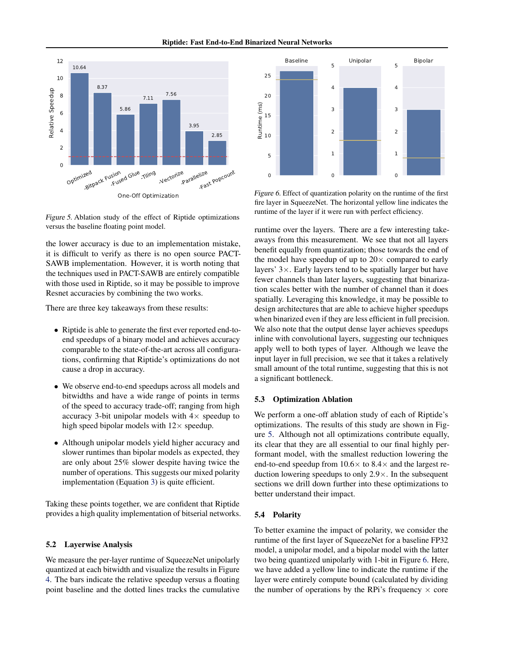Riptide: Fast End-to-End Binarized Neural Networks



Figure 5. Ablation study of the effect of Riptide optimizations versus the baseline floating point model.

the lower accuracy is due to an implementation mistake, it is difficult to verify as there is no open source PACT-SAWB implementation. However, it is worth noting that the techniques used in PACT-SAWB are entirely compatible with those used in Riptide, so it may be possible to improve Resnet accuracies by combining the two works.

There are three key takeaways from these results:

- Riptide is able to generate the first ever reported end-toend speedups of a binary model and achieves accuracy comparable to the state-of-the-art across all configurations, confirming that Riptide's optimizations do not cause a drop in accuracy.
- We observe end-to-end speedups across all models and bitwidths and have a wide range of points in terms of the speed to accuracy trade-off; ranging from high accuracy 3-bit unipolar models with  $4\times$  speedup to high speed bipolar models with  $12\times$  speedup.
- Although unipolar models yield higher accuracy and slower runtimes than bipolar models as expected, they are only about 25% slower despite having twice the number of operations. This suggests our mixed polarity implementation (Equation [3\)](#page-5-0) is quite efficient.

Taking these points together, we are confident that Riptide provides a high quality implementation of bitserial networks.

#### 5.2 Layerwise Analysis

We measure the per-layer runtime of SqueezeNet unipolarly quantized at each bitwidth and visualize the results in Figure [4.](#page-7-0) The bars indicate the relative speedup versus a floating point baseline and the dotted lines tracks the cumulative



Figure 6. Effect of quantization polarity on the runtime of the first fire layer in SqueezeNet. The horizontal yellow line indicates the runtime of the layer if it were run with perfect efficiency.

runtime over the layers. There are a few interesting takeaways from this measurement. We see that not all layers benefit equally from quantization; those towards the end of the model have speedup of up to  $20 \times$  compared to early layers'  $3 \times$ . Early layers tend to be spatially larger but have fewer channels than later layers, suggesting that binarization scales better with the number of channel than it does spatially. Leveraging this knowledge, it may be possible to design architectures that are able to achieve higher speedups when binarized even if they are less efficient in full precision. We also note that the output dense layer achieves speedups inline with convolutional layers, suggesting our techniques apply well to both types of layer. Although we leave the input layer in full precision, we see that it takes a relatively small amount of the total runtime, suggesting that this is not a significant bottleneck.

#### 5.3 Optimization Ablation

We perform a one-off ablation study of each of Riptide's optimizations. The results of this study are shown in Figure 5. Although not all optimizations contribute equally, its clear that they are all essential to our final highly performant model, with the smallest reduction lowering the end-to-end speedup from  $10.6 \times$  to  $8.4 \times$  and the largest reduction lowering speedups to only  $2.9 \times$ . In the subsequent sections we drill down further into these optimizations to better understand their impact.

## 5.4 Polarity

To better examine the impact of polarity, we consider the runtime of the first layer of SqueezeNet for a baseline FP32 model, a unipolar model, and a bipolar model with the latter two being quantized unipolarly with 1-bit in Figure 6. Here, we have added a yellow line to indicate the runtime if the layer were entirely compute bound (calculated by dividing the number of operations by the RPi's frequency  $\times$  core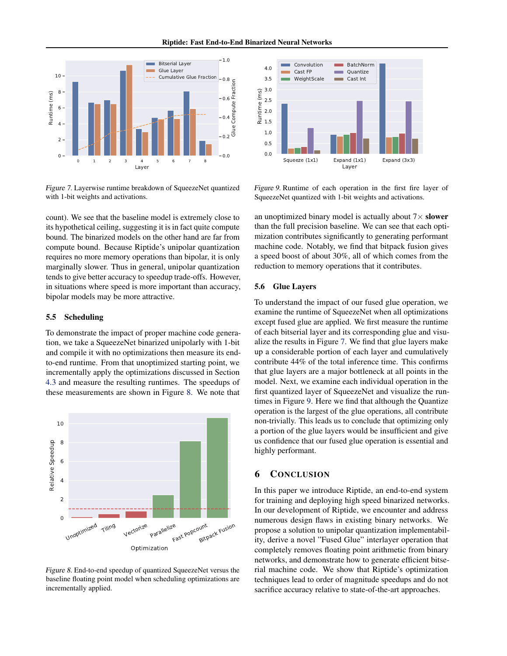#### Riptide: Fast End-to-End Binarized Neural Networks



Figure 7. Layerwise runtime breakdown of SqueezeNet quantized with 1-bit weights and activations.

count). We see that the baseline model is extremely close to its hypothetical ceiling, suggesting it is in fact quite compute bound. The binarized models on the other hand are far from compute bound. Because Riptide's unipolar quantization requires no more memory operations than bipolar, it is only marginally slower. Thus in general, unipolar quantization tends to give better accuracy to speedup trade-offs. However, in situations where speed is more important than accuracy, bipolar models may be more attractive.

#### 5.5 Scheduling

To demonstrate the impact of proper machine code generation, we take a SqueezeNet binarized unipolarly with 1-bit and compile it with no optimizations then measure its endto-end runtime. From that unoptimized starting point, we incrementally apply the optimizations discussed in Section [4.3](#page-6-0) and measure the resulting runtimes. The speedups of these measurements are shown in Figure 8. We note that



Figure 8. End-to-end speedup of quantized SqueezeNet versus the baseline floating point model when scheduling optimizations are incrementally applied.



Figure 9. Runtime of each operation in the first fire layer of SqueezeNet quantized with 1-bit weights and activations.

an unoptimized binary model is actually about  $7\times$  slower than the full precision baseline. We can see that each optimization contributes significantly to generating performant machine code. Notably, we find that bitpack fusion gives a speed boost of about 30%, all of which comes from the reduction to memory operations that it contributes.

### 5.6 Glue Layers

To understand the impact of our fused glue operation, we examine the runtime of SqueezeNet when all optimizations except fused glue are applied. We first measure the runtime of each bitserial layer and its corresponding glue and visualize the results in Figure 7. We find that glue layers make up a considerable portion of each layer and cumulatively contribute 44% of the total inference time. This confirms that glue layers are a major bottleneck at all points in the model. Next, we examine each individual operation in the first quantized layer of SqueezeNet and visualize the runtimes in Figure 9. Here we find that although the Quantize operation is the largest of the glue operations, all contribute non-trivially. This leads us to conclude that optimizing only a portion of the glue layers would be insufficient and give us confidence that our fused glue operation is essential and highly performant.

## 6 CONCLUSION

In this paper we introduce Riptide, an end-to-end system for training and deploying high speed binarized networks. In our development of Riptide, we encounter and address numerous design flaws in existing binary networks. We propose a solution to unipolar quantization implementability, derive a novel "Fused Glue" interlayer operation that completely removes floating point arithmetic from binary networks, and demonstrate how to generate efficient bitserial machine code. We show that Riptide's optimization techniques lead to order of magnitude speedups and do not sacrifice accuracy relative to state-of-the-art approaches.